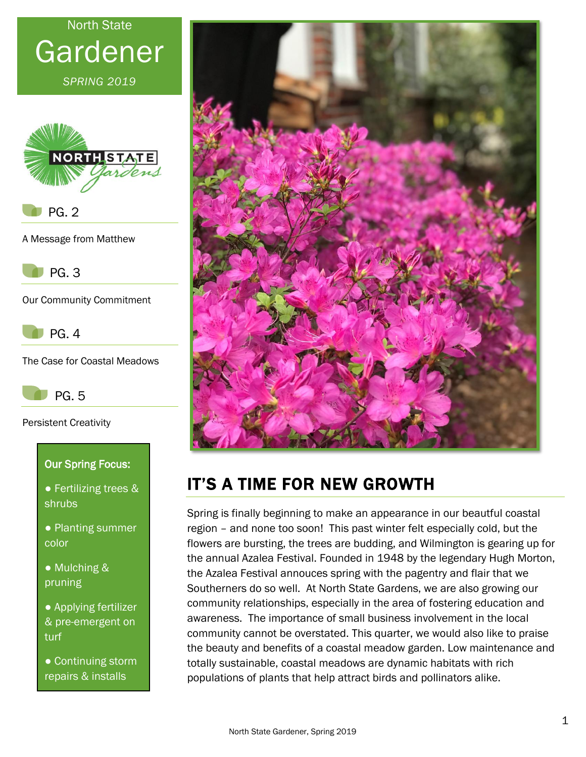# North State Gardener

*SPRING 2019*



PG. 2

A Message from Matthew



Our Community Commitment



The Case for Coastal Meadows



Persistent Creativity

#### Our Spring Focus:

- Fertilizing trees & shrubs
- Planting summer color
- Mulching & pruning
- Applying fertilizer & pre-emergent on turf
- Continuing storm repairs & installs



# IT'S A TIME FOR NEW GROWTH

Spring is finally beginning to make an appearance in our beautful coastal region – and none too soon! This past winter felt especially cold, but the flowers are bursting, the trees are budding, and Wilmington is gearing up for the annual Azalea Festival. Founded in 1948 by the legendary Hugh Morton, the Azalea Festival annouces spring with the pagentry and flair that we Southerners do so well. At North State Gardens, we are also growing our community relationships, especially in the area of fostering education and awareness. The importance of small business involvement in the local community cannot be overstated. This quarter, we would also like to praise the beauty and benefits of a coastal meadow garden. Low maintenance and totally sustainable, coastal meadows are dynamic habitats with rich populations of plants that help attract birds and pollinators alike.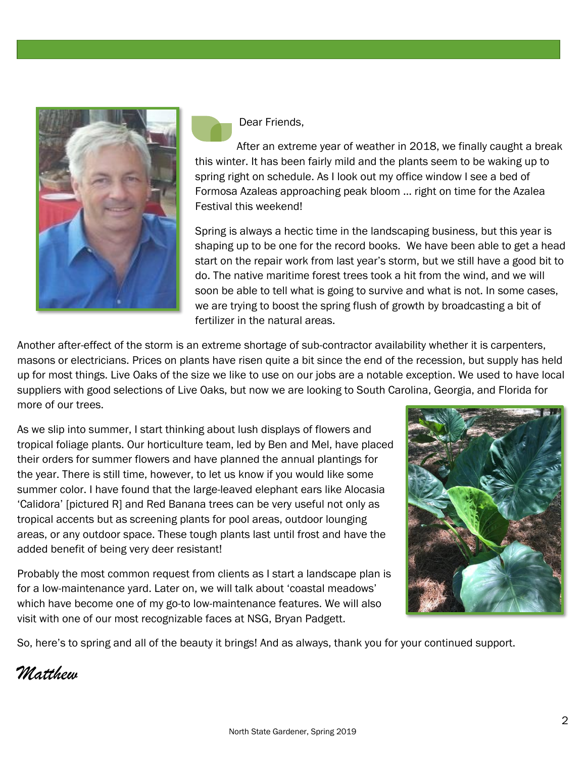

Dear Friends,

After an extreme year of weather in 2018, we finally caught a break this winter. It has been fairly mild and the plants seem to be waking up to spring right on schedule. As I look out my office window I see a bed of Formosa Azaleas approaching peak bloom … right on time for the Azalea Festival this weekend!

Spring is always a hectic time in the landscaping business, but this year is shaping up to be one for the record books. We have been able to get a head start on the repair work from last year's storm, but we still have a good bit to do. The native maritime forest trees took a hit from the wind, and we will soon be able to tell what is going to survive and what is not. In some cases, we are trying to boost the spring flush of growth by broadcasting a bit of fertilizer in the natural areas.

Another after-effect of the storm is an extreme shortage of sub-contractor availability whether it is carpenters, masons or electricians. Prices on plants have risen quite a bit since the end of the recession, but supply has held up for most things. Live Oaks of the size we like to use on our jobs are a notable exception. We used to have local suppliers with good selections of Live Oaks, but now we are looking to South Carolina, Georgia, and Florida for more of our trees.

As we slip into summer, I start thinking about lush displays of flowers and tropical foliage plants. Our horticulture team, led by Ben and Mel, have placed their orders for summer flowers and have planned the annual plantings for the year. There is still time, however, to let us know if you would like some summer color. I have found that the large-leaved elephant ears like Alocasia 'Calidora' [pictured R] and Red Banana trees can be very useful not only as tropical accents but as screening plants for pool areas, outdoor lounging areas, or any outdoor space. These tough plants last until frost and have the added benefit of being very deer resistant!

Probably the most common request from clients as I start a landscape plan is for a low-maintenance yard. Later on, we will talk about 'coastal meadows' which have become one of my go-to low-maintenance features. We will also visit with one of our most recognizable faces at NSG, Bryan Padgett.



So, here's to spring and all of the beauty it brings! And as always, thank you for your continued support.

*Matthew*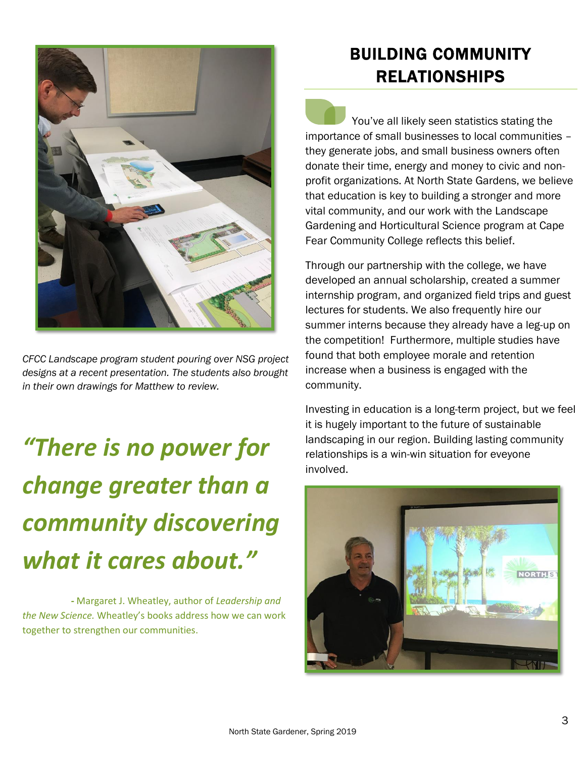

*CFCC Landscape program student pouring over NSG project designs at a recent presentation. The students also brought in their own drawings for Matthew to review.*

*"There is no power for change greater than a community discovering what it cares about."*

 *-* Margaret J. Wheatley, author of *Leadership and the New Science.* Wheatley's books address how we can work together to strengthen our communities.

## BUILDING COMMUNITY RELATIONSHIPS

 You've all likely seen statistics stating the importance of small businesses to local communities – they generate jobs, and small business owners often donate their time, energy and money to civic and nonprofit organizations. At North State Gardens, we believe that education is key to building a stronger and more vital community, and our work with the Landscape Gardening and Horticultural Science program at Cape Fear Community College reflects this belief.

Through our partnership with the college, we have developed an annual scholarship, created a summer internship program, and organized field trips and guest lectures for students. We also frequently hire our summer interns because they already have a leg-up on the competition! Furthermore, multiple studies have found that both employee morale and retention increase when a business is engaged with the community.

Investing in education is a long-term project, but we feel it is hugely important to the future of sustainable landscaping in our region. Building lasting community relationships is a win-win situation for eveyone involved.

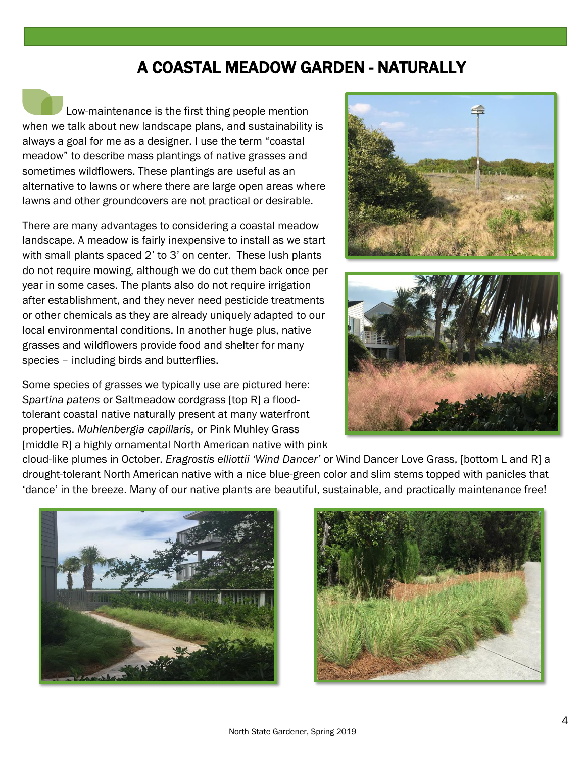#### A COASTAL MEADOW GARDEN - NATURALLY

Low-maintenance is the first thing people mention when we talk about new landscape plans, and sustainability is always a goal for me as a designer. I use the term "coastal meadow" to describe mass plantings of native grasses and sometimes wildflowers. These plantings are useful as an alternative to lawns or where there are large open areas where lawns and other groundcovers are not practical or desirable.

There are many advantages to considering a coastal meadow landscape. A meadow is fairly inexpensive to install as we start with small plants spaced 2' to 3' on center. These lush plants do not require mowing, although we do cut them back once per year in some cases. The plants also do not require irrigation after establishment, and they never need pesticide treatments or other chemicals as they are already uniquely adapted to our local environmental conditions. In another huge plus, native grasses and wildflowers provide food and shelter for many species – including birds and butterflies.

Some species of grasses we typically use are pictured here: *Spartina patens* or Saltmeadow cordgrass [top R] a floodtolerant coastal native naturally present at many waterfront properties. *Muhlenbergia capillaris,* or Pink Muhley Grass [middle R] a highly ornamental North American native with pink





cloud-like plumes in October. *Eragrostis elliottii 'Wind Dancer'* or Wind Dancer Love Grass, [bottom L and R] a drought-tolerant North American native with a nice blue-green color and slim stems topped with panicles that 'dance' in the breeze. Many of our native plants are beautiful, sustainable, and practically maintenance free!